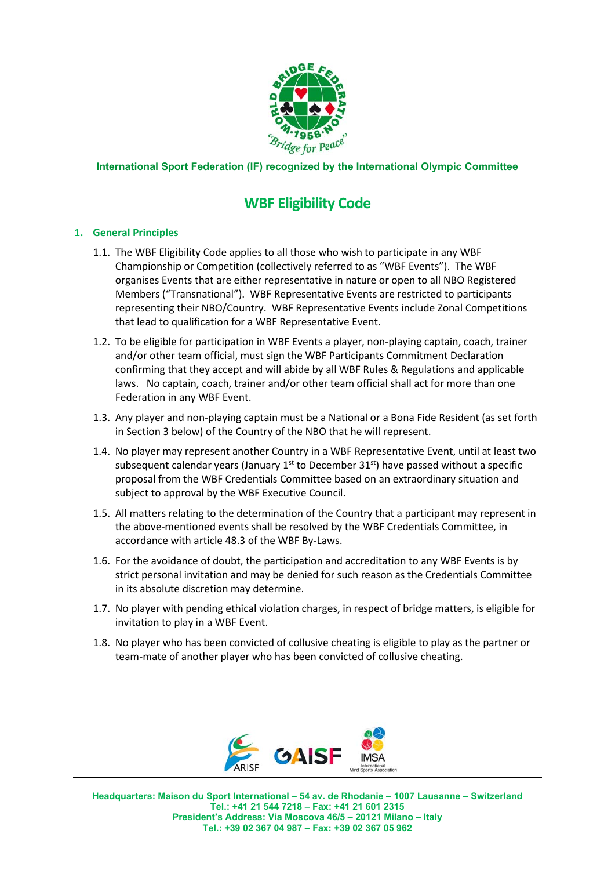

# **International Sport Federation (IF) recognized by the International Olympic Committee**

# **WBF Eligibility Code**

## **1. General Principles**

- 1.1. The WBF Eligibility Code applies to all those who wish to participate in any WBF Championship or Competition (collectively referred to as "WBF Events"). The WBF organises Events that are either representative in nature or open to all NBO Registered Members ("Transnational"). WBF Representative Events are restricted to participants representing their NBO/Country. WBF Representative Events include Zonal Competitions that lead to qualification for a WBF Representative Event.
- 1.2. To be eligible for participation in WBF Events a player, non‐playing captain, coach, trainer and/or other team official, must sign the WBF Participants Commitment Declaration confirming that they accept and will abide by all WBF Rules & Regulations and applicable laws. No captain, coach, trainer and/or other team official shall act for more than one Federation in any WBF Event.
- 1.3. Any player and non‐playing captain must be a National or a Bona Fide Resident (as set forth in Section 3 below) of the Country of the NBO that he will represent.
- 1.4. No player may represent another Country in a WBF Representative Event, until at least two subsequent calendar years (January  $1<sup>st</sup>$  to December  $31<sup>st</sup>$ ) have passed without a specific proposal from the WBF Credentials Committee based on an extraordinary situation and subject to approval by the WBF Executive Council.
- 1.5. All matters relating to the determination of the Country that a participant may represent in the above‐mentioned events shall be resolved by the WBF Credentials Committee, in accordance with article 48.3 of the WBF By‐Laws.
- 1.6. For the avoidance of doubt, the participation and accreditation to any WBF Events is by strict personal invitation and may be denied for such reason as the Credentials Committee in its absolute discretion may determine.
- 1.7. No player with pending ethical violation charges, in respect of bridge matters, is eligible for invitation to play in a WBF Event.
- 1.8. No player who has been convicted of collusive cheating is eligible to play as the partner or team‐mate of another player who has been convicted of collusive cheating.

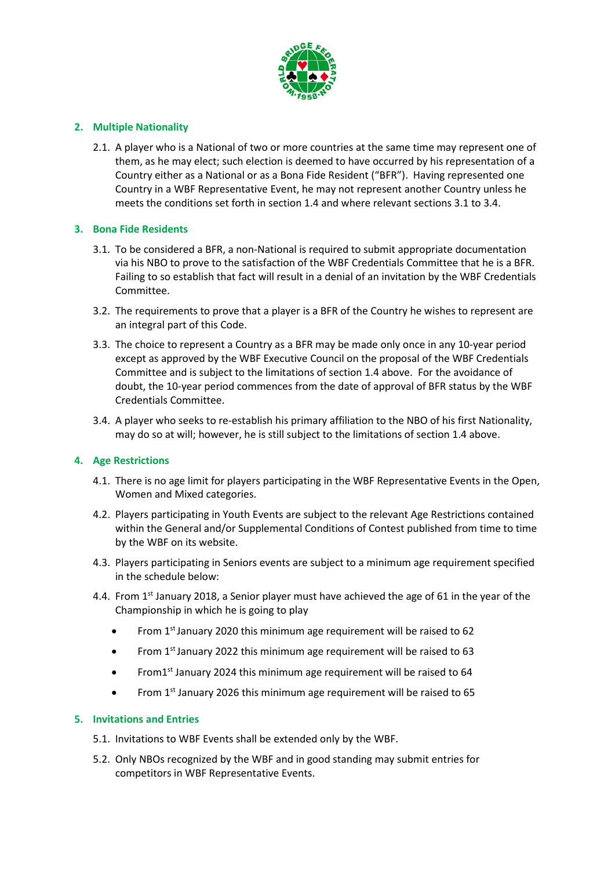

# **2. Multiple Nationality**

2.1. A player who is a National of two or more countries at the same time may represent one of them, as he may elect; such election is deemed to have occurred by his representation of a Country either as a National or as a Bona Fide Resident ("BFR"). Having represented one Country in a WBF Representative Event, he may not represent another Country unless he meets the conditions set forth in section 1.4 and where relevant sections 3.1 to 3.4.

## **3. Bona Fide Residents**

- 3.1. To be considered a BFR, a non‐National is required to submit appropriate documentation via his NBO to prove to the satisfaction of the WBF Credentials Committee that he is a BFR. Failing to so establish that fact will result in a denial of an invitation by the WBF Credentials Committee.
- 3.2. The requirements to prove that a player is a BFR of the Country he wishes to represent are an integral part of this Code.
- 3.3. The choice to represent a Country as a BFR may be made only once in any 10‐year period except as approved by the WBF Executive Council on the proposal of the WBF Credentials Committee and is subject to the limitations of section 1.4 above. For the avoidance of doubt, the 10‐year period commences from the date of approval of BFR status by the WBF Credentials Committee.
- 3.4. A player who seeks to re‐establish his primary affiliation to the NBO of his first Nationality, may do so at will; however, he is still subject to the limitations of section 1.4 above.

## **4. Age Restrictions**

- 4.1. There is no age limit for players participating in the WBF Representative Events in the Open, Women and Mixed categories.
- 4.2. Players participating in Youth Events are subject to the relevant Age Restrictions contained within the General and/or Supplemental Conditions of Contest published from time to time by the WBF on its website.
- 4.3. Players participating in Seniors events are subject to a minimum age requirement specified in the schedule below:
- 4.4. From 1<sup>st</sup> January 2018, a Senior player must have achieved the age of 61 in the year of the Championship in which he is going to play
	- From 1<sup>st</sup> January 2020 this minimum age requirement will be raised to 62
	- From 1<sup>st</sup> January 2022 this minimum age requirement will be raised to 63
	- From1<sup>st</sup> January 2024 this minimum age requirement will be raised to 64
	- From 1<sup>st</sup> January 2026 this minimum age requirement will be raised to 65

#### **5. Invitations and Entries**

- 5.1. Invitations to WBF Events shall be extended only by the WBF.
- 5.2. Only NBOs recognized by the WBF and in good standing may submit entries for competitors in WBF Representative Events.